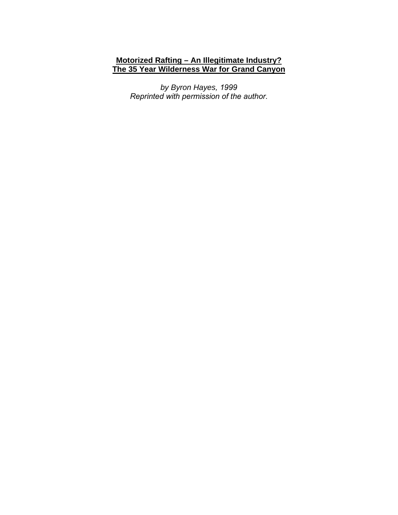# **Motorized Rafting – An Illegitimate Industry? The 35 Year Wilderness War for Grand Canyon**

*by Byron Hayes, 1999 Reprinted with permission of the author.*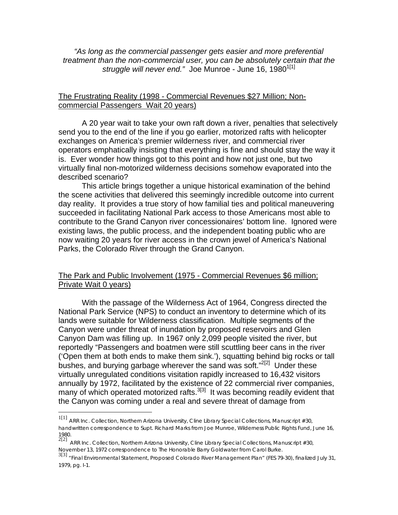*"As long as the commercial passenger gets easier and more preferential treatment than the non-commercial user, you can be absolutely certain that the struggle will never end.*" Joe Munroe - June 16, 1980<sup>1[1]</sup>

## The Frustrating Reality (1998 - Commercial Revenues \$27 Million; Noncommercial Passengers Wait 20 years)

A 20 year wait to take your own raft down a river, penalties that selectively send you to the end of the line if you go earlier, motorized rafts with helicopter exchanges on America's premier wilderness river, and commercial river operators emphatically insisting that everything is fine and should stay the way it is. Ever wonder how things got to this point and how not just one, but two virtually final non-motorized wilderness decisions somehow evaporated into the described scenario?

This article brings together a unique historical examination of the behind the scene activities that delivered this seemingly incredible outcome into current day reality. It provides a true story of how familial ties and political maneuvering succeeded in facilitating National Park access to those Americans most able to contribute to the Grand Canyon river concessionaires' bottom line. Ignored were existing laws, the public process, and the independent boating public who are now waiting 20 years for river access in the crown jewel of America's National Parks, the Colorado River through the Grand Canyon.

# The Park and Public Involvement (1975 - Commercial Revenues \$6 million; Private Wait 0 years)

With the passage of the Wilderness Act of 1964, Congress directed the National Park Service (NPS) to conduct an inventory to determine which of its lands were suitable for Wilderness classification. Multiple segments of the Canyon were under threat of inundation by proposed reservoirs and Glen Canyon Dam was filling up. In 1967 only 2,099 people visited the river, but reportedly "Passengers and boatmen were still scuttling beer cans in the river ('Open them at both ends to make them sink.'), squatting behind big rocks or tall bushes, and burying garbage wherever the sand was soft."<sup>2[2]</sup> Under these virtually unregulated conditions visitation rapidly increased to 16,432 visitors annually by 1972, facilitated by the existence of 22 commercial river companies, many of which operated motorized rafts. $3[3]$  It was becoming readily evident that the Canyon was coming under a real and severe threat of damage from

<sup>1[1]</sup> ARR Inc. Collection, Northern Arizona University, Cline Library Special Collections, Manuscript #30, handwritten correspondence to Supt. Richard Marks from Joe Munroe, Wilderness Public Rights Fund, June 16, 1980.<br><sup>2[2]</sup> ARR Inc. Collection, Northern Arizona University, Cline Library Special Collections, Manuscript #30,

November 13, 1972 correspondence to The Honorable Barry Goldwater from Carol Burke.

<sup>3[3]</sup> "*Final Environmental Statement*, Proposed Colorado River Management Plan" (FES 79-30), finalized July 31, 1979, pg. I-1.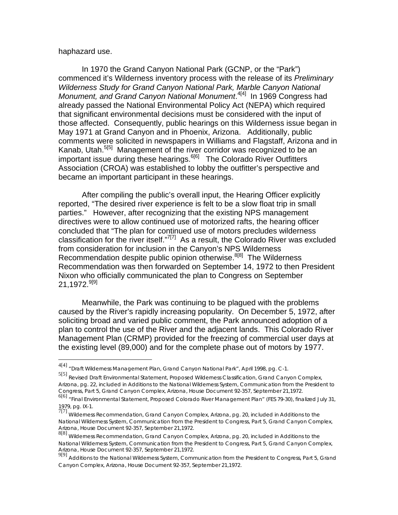### haphazard use.

 $\overline{a}$ 

 In 1970 the Grand Canyon National Park (GCNP, or the "Park") commenced it's Wilderness inventory process with the release of its *Preliminary Wilderness Study for Grand Canyon National Park, Marble Canyon National*  Monument, and Grand Canyon National Monument.<sup>4[4]</sup> In 1969 Congress had already passed the National Environmental Policy Act (NEPA) which required that significant environmental decisions must be considered with the input of those affected. Consequently, public hearings on this Wilderness issue began in May 1971 at Grand Canyon and in Phoenix, Arizona. Additionally, public comments were solicited in newspapers in Williams and Flagstaff, Arizona and in Kanab, Utah.<sup>5[5]</sup> Management of the river corridor was recognized to be an important issue during these hearings.<sup> $6[6]$ </sup> The Colorado River Outfitters Association (CROA) was established to lobby the outfitter's perspective and became an important participant in these hearings.

 After compiling the public's overall input, the Hearing Officer explicitly reported, "The desired river experience is felt to be a slow float trip in small parties." However, after recognizing that the existing NPS management directives were to allow continued use of motorized rafts, the hearing officer concluded that "The plan for continued use of motors precludes wilderness classification for the river itself." $7$ <sup>[7]</sup> As a result, the Colorado River was excluded from consideration for inclusion in the Canyon's NPS Wilderness Recommendation despite public opinion otherwise.<sup>8[8]</sup> The Wilderness Recommendation was then forwarded on September 14, 1972 to then President Nixon who officially communicated the plan to Congress on September  $21.1972.^{9[9]}$ 

 Meanwhile, the Park was continuing to be plagued with the problems caused by the River's rapidly increasing popularity. On December 5, 1972, after soliciting broad and varied public comment, the Park announced adoption of a plan to control the use of the River and the adjacent lands. This Colorado River Management Plan (CRMP) provided for the freezing of commercial user days at the existing level (89,000) and for the complete phase out of motors by 1977.

<sup>4[4]</sup> "*Draft Wilderness Management Plan*, Grand Canyon National Park", April 1998, pg. C-1.

<sup>5[5]</sup> *Revised Draft Environmental Statement, Proposed Wilderness Classification, Grand Canyon Complex, Arizona*, pg. 22, included in *Additions to the National Wilderness System*, Communication from the President to Congress, Part 5, Grand Canyon Complex, Arizona, House Document 92-357, September 21,1972.

<sup>6[6]</sup> "*Final Environmental Statement*, Proposed Colorado River Management Plan" (FES 79-30), finalized July 31, 1979, pg. IX-1.

<sup>7[7]</sup> *Wilderness Recommendation, Grand Canyon Complex, Arizona*, pg. 20, included in *Additions to the National Wilderness System*, Communication from the President to Congress, Part 5, Grand Canyon Complex, Arizona, House Document 92-357, September 21,1972. 8[8] *Wilderness Recommendation, Grand Canyon Complex, Arizona*, pg. 20, included in *Additions to the* 

*National Wilderness System*, Communication from the President to Congress, Part 5, Grand Canyon Complex, Arizona, House Document 92-357, September 21,1972.

<sup>9[9]</sup> *Additions to the National Wilderness System*, Communication from the President to Congress, Part 5, Grand Canyon Complex, Arizona, House Document 92-357, September 21,1972.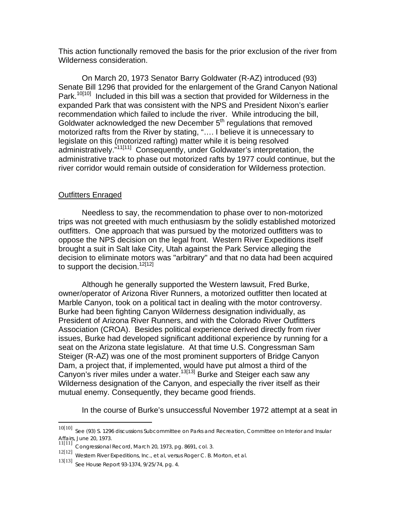This action functionally removed the basis for the prior exclusion of the river from Wilderness consideration.

On March 20, 1973 Senator Barry Goldwater (R-AZ) introduced (93) Senate Bill 1296 that provided for the enlargement of the Grand Canyon National Park.<sup>10[10]</sup> Included in this bill was a section that provided for Wilderness in the expanded Park that was consistent with the NPS and President Nixon's earlier recommendation which failed to include the river. While introducing the bill, Goldwater acknowledged the new December 5<sup>th</sup> regulations that removed motorized rafts from the River by stating, "…. I believe it is unnecessary to legislate on this (motorized rafting) matter while it is being resolved administratively."11[11] Consequently, under Goldwater's interpretation, the administrative track to phase out motorized rafts by 1977 could continue, but the river corridor would remain outside of consideration for Wilderness protection.

# Outfitters Enraged

Needless to say, the recommendation to phase over to non-motorized trips was not greeted with much enthusiasm by the solidly established motorized outfitters. One approach that was pursued by the motorized outfitters was to oppose the NPS decision on the legal front. Western River Expeditions itself brought a suit in Salt lake City, Utah against the Park Service alleging the decision to eliminate motors was "arbitrary" and that no data had been acquired to support the decision.<sup>12[12]</sup>

Although he generally supported the Western lawsuit, Fred Burke, owner/operator of Arizona River Runners, a motorized outfitter then located at Marble Canyon, took on a political tact in dealing with the motor controversy. Burke had been fighting Canyon Wilderness designation individually, as President of Arizona River Runners, and with the Colorado River Outfitters Association (CROA). Besides political experience derived directly from river issues, Burke had developed significant additional experience by running for a seat on the Arizona state legislature. At that time U.S. Congressman Sam Steiger (R-AZ) was one of the most prominent supporters of Bridge Canyon Dam, a project that, if implemented, would have put almost a third of the Canyon's river miles under a water.<sup>13[13]</sup> Burke and Steiger each saw any Wilderness designation of the Canyon, and especially the river itself as their mutual enemy. Consequently, they became good friends.

In the course of Burke's unsuccessful November 1972 attempt at a seat in

<sup>10[10]</sup> See (93) S. 1296 discussions Subcommittee on Parks and Recreation, Committee on Interior and Insular Affairs, June 20, 1973. 11[11] *Congressional Record*, March 20, 1973, pg. 8691, col. 3.

<sup>12[12]</sup> Western River Expeditions, Inc., et al, versus Roger C. B. Morton, et al.

<sup>13[13]</sup> See House Report 93-1374, 9/25/74, pg. 4.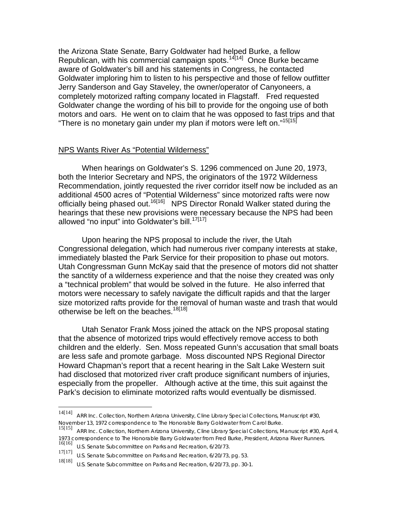the Arizona State Senate, Barry Goldwater had helped Burke, a fellow Republican, with his commercial campaign spots.14[14] Once Burke became aware of Goldwater's bill and his statements in Congress, he contacted Goldwater imploring him to listen to his perspective and those of fellow outfitter Jerry Sanderson and Gay Staveley, the owner/operator of Canyoneers, a completely motorized rafting company located in Flagstaff. Fred requested Goldwater change the wording of his bill to provide for the ongoing use of both motors and oars. He went on to claim that he was opposed to fast trips and that "There is no monetary gain under my plan if motors were left on."<sup>15[15]</sup>

## NPS Wants River As "Potential Wilderness"

 When hearings on Goldwater's S. 1296 commenced on June 20, 1973, both the Interior Secretary and NPS, the originators of the 1972 Wilderness Recommendation, jointly requested the river corridor itself now be included as an additional 4500 acres of "Potential Wilderness" since motorized rafts were now officially being phased out.<sup>16[16]</sup> NPS Director Ronald Walker stated during the hearings that these new provisions were necessary because the NPS had been allowed "no input" into Goldwater's bill.<sup>17[17]</sup>

 Upon hearing the NPS proposal to include the river, the Utah Congressional delegation, which had numerous river company interests at stake, immediately blasted the Park Service for their proposition to phase out motors. Utah Congressman Gunn McKay said that the presence of motors did not shatter the sanctity of a wilderness experience and that the noise they created was only a "technical problem" that would be solved in the future. He also inferred that motors were necessary to safely navigate the difficult rapids and that the larger size motorized rafts provide for the removal of human waste and trash that would otherwise be left on the beaches.<sup>18[18]</sup>

 Utah Senator Frank Moss joined the attack on the NPS proposal stating that the absence of motorized trips would effectively remove access to both children and the elderly. Sen. Moss repeated Gunn's accusation that small boats are less safe and promote garbage. Moss discounted NPS Regional Director Howard Chapman's report that a recent hearing in the Salt Lake Western suit had disclosed that motorized river craft produce significant numbers of injuries, especially from the propeller. Although active at the time, this suit against the Park's decision to eliminate motorized rafts would eventually be dismissed.

 $14[14]$ ARR Inc. Collection, Northern Arizona University, Cline Library Special Collections, Manuscript #30, November 13, 1972 correspondence to The Honorable Barry Goldwater from Carol Burke.

<sup>15[15]</sup> ARR Inc. Collection, Northern Arizona University, Cline Library Special Collections, Manuscript #30, April 4, 1973 correspondence to The Honorable Barry Goldwater from Fred Burke, President, Arizona River Runners.<br><sup>16[16]</sup> U.S. Senate Subcommittee on Parks and Recreation, 6/20/73.

<sup>17[17]</sup> U.S. Senate Subcommittee on Parks and Recreation, 6/20/73, pg. 53.

<sup>18[18]</sup> U.S. Senate Subcommittee on Parks and Recreation, 6/20/73, pp. 30-1.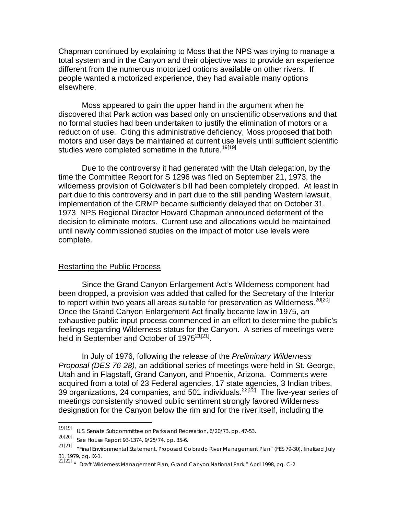Chapman continued by explaining to Moss that the NPS was trying to manage a total system and in the Canyon and their objective was to provide an experience different from the numerous motorized options available on other rivers. If people wanted a motorized experience, they had available many options elsewhere.

 Moss appeared to gain the upper hand in the argument when he discovered that Park action was based only on unscientific observations and that no formal studies had been undertaken to justify the elimination of motors or a reduction of use. Citing this administrative deficiency, Moss proposed that both motors and user days be maintained at current use levels until sufficient scientific studies were completed sometime in the future.<sup>19[19]</sup>

 Due to the controversy it had generated with the Utah delegation, by the time the Committee Report for S 1296 was filed on September 21, 1973, the wilderness provision of Goldwater's bill had been completely dropped. At least in part due to this controversy and in part due to the still pending Western lawsuit, implementation of the CRMP became sufficiently delayed that on October 31, 1973 NPS Regional Director Howard Chapman announced deferment of the decision to eliminate motors. Current use and allocations would be maintained until newly commissioned studies on the impact of motor use levels were complete.

### Restarting the Public Process

 Since the Grand Canyon Enlargement Act's Wilderness component had been dropped, a provision was added that called for the Secretary of the Interior to report within two years all areas suitable for preservation as Wilderness.<sup>20[20]</sup> Once the Grand Canyon Enlargement Act finally became law in 1975, an exhaustive public input process commenced in an effort to determine the public's feelings regarding Wilderness status for the Canyon. A series of meetings were held in September and October of 1975<sup>21[21]</sup>.

 In July of 1976, following the release of the *Preliminary Wilderness Proposal (DES 76-28)*, an additional series of meetings were held in St. George, Utah and in Flagstaff, Grand Canyon, and Phoenix, Arizona. Comments were acquired from a total of 23 Federal agencies, 17 state agencies, 3 Indian tribes, 39 organizations, 24 companies, and 501 individuals. <sup>22[22]</sup> The five-year series of meetings consistently showed public sentiment strongly favored Wilderness designation for the Canyon below the rim and for the river itself, including the

<sup>19[19]</sup> 19[19] U.S. Senate Subcommittee on Parks and Recreation, 6/20/73, pp. 47-53.

<sup>20[20]</sup> See House Report 93-1374, 9/25/74, pp. 35-6.

<sup>21[21]</sup> "Final Environmental Statement, Proposed Colorado River Management Plan" (FES 79-30), finalized July 31, 1979, pg. IX-1.

<sup>22[22] &</sup>quot; Draft Wilderness Management Plan, Grand Canyon National Park," April 1998, pg. C-2.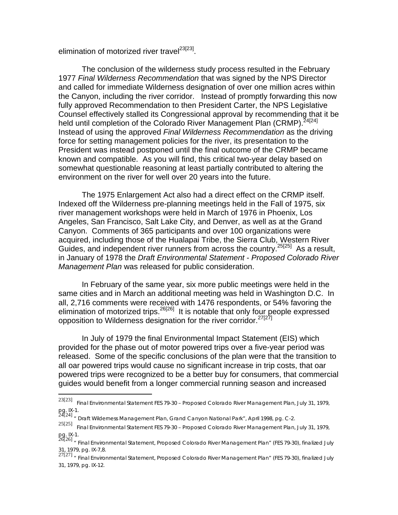elimination of motorized river travel<sup>23[23]</sup>.

 The conclusion of the wilderness study process resulted in the February 1977 *Final Wilderness Recommendation* that was signed by the NPS Director and called for immediate Wilderness designation of over one million acres within the Canyon, including the river corridor. Instead of promptly forwarding this now fully approved Recommendation to then President Carter, the NPS Legislative Counsel effectively stalled its Congressional approval by recommending that it be held until completion of the Colorado River Management Plan (CRMP).<sup>24[24]</sup> Instead of using the approved *Final Wilderness Recommendation* as the driving force for setting management policies for the river, its presentation to the President was instead postponed until the final outcome of the CRMP became known and compatible. As you will find, this critical two-year delay based on somewhat questionable reasoning at least partially contributed to altering the environment on the river for well over 20 years into the future.

 The 1975 Enlargement Act also had a direct effect on the CRMP itself. Indexed off the Wilderness pre-planning meetings held in the Fall of 1975, six river management workshops were held in March of 1976 in Phoenix, Los Angeles, San Francisco, Salt Lake City, and Denver, as well as at the Grand Canyon. Comments of 365 participants and over 100 organizations were acquired, including those of the Hualapai Tribe, the Sierra Club, Western River Guides, and independent river runners from across the country.<sup>25[25]</sup> As a result, in January of 1978 the *Draft Environmental Statement - Proposed Colorado River Management Plan* was released for public consideration.

 In February of the same year, six more public meetings were held in the same cities and in March an additional meeting was held in Washington D.C. In all, 2,716 comments were received with 1476 respondents, or 54% favoring the elimination of motorized trips.<sup>26[26]</sup> It is notable that only four people expressed opposition to Wilderness designation for the river corridor.<sup>27[27]</sup>

 In July of 1979 the final Environmental Impact Statement (EIS) which provided for the phase out of motor powered trips over a five-year period was released. Some of the specific conclusions of the plan were that the transition to all oar powered trips would cause no significant increase in trip costs, that oar powered trips were recognized to be a better buy for consumers, that commercial guides would benefit from a longer commercial running season and increased

<sup>23[23]</sup> 23[23] *Final Environmental Statement FES 79-30 – Proposed Colorado River Management Plan*, July 31, 1979, pg. IX-1.<br><sup>24[24]</sup> " Draft Wilderness Management Plan, Grand Canyon National Park", April 1998, pg. C-2.

<sup>25[25]</sup> *Final Environmental Statement FES 79-30 – Proposed Colorado River Management Plan*, July 31, 1979, pg. IX-1.<br><sup>26[26]</sup> " Final Environmental Statement, Proposed Colorado River Management Plan" (FES 79-30), finalized July

<sup>31, 1979,</sup> pg. IX-7,8.

<sup>27[27]</sup> " Final Environmental Statement, Proposed Colorado River Management Plan" (FES 79-30), finalized July 31, 1979, pg. IX-12.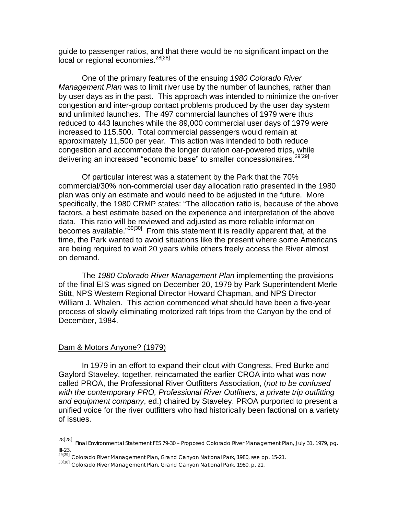guide to passenger ratios, and that there would be no significant impact on the local or regional economies.<sup>28[28]</sup>

One of the primary features of the ensuing *1980 Colorado River Management Plan* was to limit river use by the number of launches, rather than by user days as in the past. This approach was intended to minimize the on-river congestion and inter-group contact problems produced by the user day system and unlimited launches. The 497 commercial launches of 1979 were thus reduced to 443 launches while the 89,000 commercial user days of 1979 were increased to 115,500. Total commercial passengers would remain at approximately 11,500 per year. This action was intended to both reduce congestion and accommodate the longer duration oar-powered trips, while delivering an increased "economic base" to smaller concessionaires.<sup>29[29]</sup>

Of particular interest was a statement by the Park that the 70% commercial/30% non-commercial user day allocation ratio presented in the 1980 plan was only an estimate and would need to be adjusted in the future. More specifically, the 1980 CRMP states: "The allocation ratio is, because of the above factors, a best estimate based on the experience and interpretation of the above data. This ratio will be reviewed and adjusted as more reliable information becomes available."<sup>30[30]</sup> From this statement it is readily apparent that, at the time, the Park wanted to avoid situations like the present where some Americans are being required to wait 20 years while others freely access the River almost on demand.

 The *1980 Colorado River Management Plan* implementing the provisions of the final EIS was signed on December 20, 1979 by Park Superintendent Merle Stitt, NPS Western Regional Director Howard Chapman, and NPS Director William J. Whalen. This action commenced what should have been a five-year process of slowly eliminating motorized raft trips from the Canyon by the end of December, 1984.

### Dam & Motors Anyone? (1979)

In 1979 in an effort to expand their clout with Congress, Fred Burke and Gaylord Staveley, together, reincarnated the earlier CROA into what was now called PROA, the Professional River Outfitters Association, (*not to be confused with the contemporary PRO, Professional River Outfitters, a private trip outfitting and equipment company*, ed.) chaired by Staveley. PROA purported to present a unified voice for the river outfitters who had historically been factional on a variety of issues.

<sup>28[28]</sup> *Final Environmental Statement FES 79-30 – Proposed Colorado River Management Plan*, July 31, 1979, pg. III-23.

<sup>29[29]</sup> *Colorado River Management Plan, Grand Canyon National Park, 1980*, see pp. 15-21.

<sup>30[30]</sup> *Colorado River Management Plan, Grand Canyon National Park, 1980*, p. 21.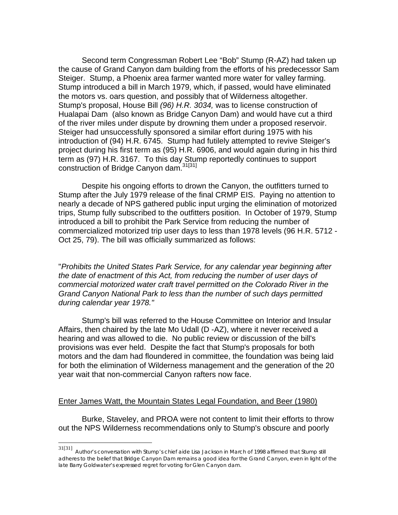Second term Congressman Robert Lee "Bob" Stump (R-AZ) had taken up the cause of Grand Canyon dam building from the efforts of his predecessor Sam Steiger. Stump, a Phoenix area farmer wanted more water for valley farming. Stump introduced a bill in March 1979, which, if passed, would have eliminated the motors vs. oars question, and possibly that of Wilderness altogether. Stump's proposal, House Bill *(96) H.R. 3034,* was to license construction of Hualapai Dam (also known as Bridge Canyon Dam) and would have cut a third of the river miles under dispute by drowning them under a proposed reservoir. Steiger had unsuccessfully sponsored a similar effort during 1975 with his introduction of (94) H.R. 6745. Stump had futilely attempted to revive Steiger's project during his first term as (95) H.R. 6906, and would again during in his third term as (97) H.R. 3167. To this day Stump reportedly continues to support construction of Bridge Canyon dam.<sup>31[31]</sup>

Despite his ongoing efforts to drown the Canyon, the outfitters turned to Stump after the July 1979 release of the final CRMP EIS. Paying no attention to nearly a decade of NPS gathered public input urging the elimination of motorized trips, Stump fully subscribed to the outfitters position. In October of 1979, Stump introduced a bill to prohibit the Park Service from reducing the number of commercialized motorized trip user days to less than 1978 levels (96 H.R. 5712 - Oct 25, 79). The bill was officially summarized as follows:

"*Prohibits the United States Park Service, for any calendar year beginning after the date of enactment of this Act, from reducing the number of user days of commercial motorized water craft travel permitted on the Colorado River in the Grand Canyon National Park to less than the number of such days permitted during calendar year 1978."* 

Stump's bill was referred to the House Committee on Interior and Insular Affairs, then chaired by the late Mo Udall (D -AZ), where it never received a hearing and was allowed to die. No public review or discussion of the bill's provisions was ever held. Despite the fact that Stump's proposals for both motors and the dam had floundered in committee, the foundation was being laid for both the elimination of Wilderness management and the generation of the 20 year wait that non-commercial Canyon rafters now face.

## Enter James Watt, the Mountain States Legal Foundation, and Beer (1980)

Burke, Staveley, and PROA were not content to limit their efforts to throw out the NPS Wilderness recommendations only to Stump's obscure and poorly

<sup>31[31]</sup> *Author's conversation with Stump's chief aide Lisa Jackson in March of 1998 affirmed that Stump still adheres to the belief that Bridge Canyon Dam remains a good idea for the Grand Canyon, even in light of the late Barry Goldwater's expressed regret for voting for Glen Canyon dam.*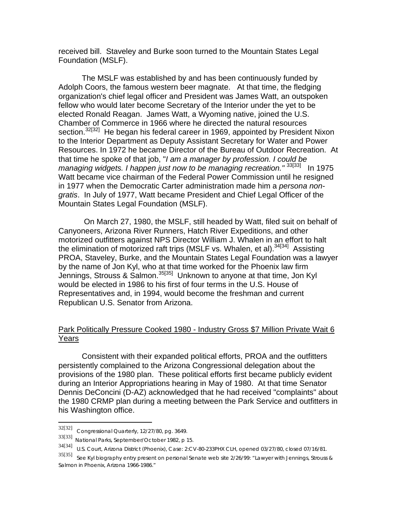received bill. Staveley and Burke soon turned to the Mountain States Legal Foundation (MSLF).

The MSLF was established by and has been continuously funded by Adolph Coors, the famous western beer magnate. At that time, the fledging organization's chief legal officer and President was James Watt, an outspoken fellow who would later become Secretary of the Interior under the yet to be elected Ronald Reagan. James Watt, a Wyoming native, joined the U.S. Chamber of Commerce in 1966 where he directed the natural resources section.<sup>32[32]</sup> He began his federal career in 1969, appointed by President Nixon to the Interior Department as Deputy Assistant Secretary for Water and Power Resources. In 1972 he became Director of the Bureau of Outdoor Recreation. At that time he spoke of that job, "*I am a manager by profession. I could be managing widgets. I happen just now to be managing recreation.*"<sup>33[33]</sup> In 1975 Watt became vice chairman of the Federal Power Commission until he resigned in 1977 when the Democratic Carter administration made him a *persona nongratis*. In July of 1977, Watt became President and Chief Legal Officer of the Mountain States Legal Foundation (MSLF).

 On March 27, 1980, the MSLF, still headed by Watt, filed suit on behalf of Canyoneers, Arizona River Runners, Hatch River Expeditions, and other motorized outfitters against NPS Director William J. Whalen in an effort to halt the elimination of motorized raft trips (MSLF vs. Whalen, et al).  $34[34]$  Assisting PROA, Staveley, Burke, and the Mountain States Legal Foundation was a lawyer by the name of Jon Kyl, who at that time worked for the Phoenix law firm Jennings, Strouss & Salmon.<sup>35[35]</sup> Unknown to anyone at that time, Jon Kyl would be elected in 1986 to his first of four terms in the U.S. House of Representatives and, in 1994, would become the freshman and current Republican U.S. Senator from Arizona.

# Park Politically Pressure Cooked 1980 - Industry Gross \$7 Million Private Wait 6 Years

Consistent with their expanded political efforts, PROA and the outfitters persistently complained to the Arizona Congressional delegation about the provisions of the 1980 plan. These political efforts first became publicly evident during an Interior Appropriations hearing in May of 1980. At that time Senator Dennis DeConcini (D-AZ) acknowledged that he had received "complaints" about the 1980 CRMP plan during a meeting between the Park Service and outfitters in his Washington office.

<sup>32[32]</sup> *Congressional Quarterly*, 12/27/80, pg. 3649.

<sup>33[33]</sup> *National Parks*, September/October 1982, p 15.

<sup>34[34]</sup> U.S. Court, Arizona District (Phoenix), Case: 2:CV-80-233PHX CLH, opened 03/27/80, closed 07/16/81.

<sup>35[35]</sup> See Kyl biography entry present on personal Senate web site 2/26/99: "Lawyer with Jennings, Strouss & Salmon in Phoenix, Arizona 1966-1986."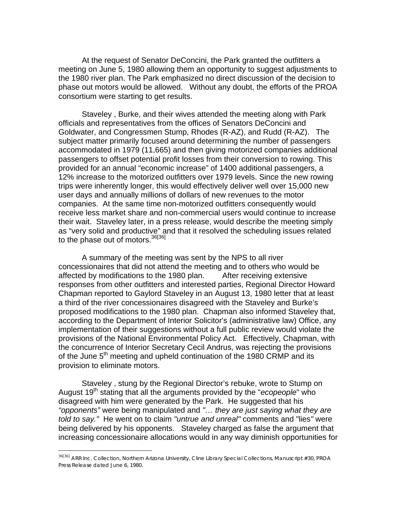At the request of Senator DeConcini, the Park granted the outfitters a meeting on June 5, 1980 allowing them an opportunity to suggest adjustments to the 1980 river plan. The Park emphasized no direct discussion of the decision to phase out motors would be allowed. Without any doubt, the efforts of the PROA consortium were starting to get results.

Staveley , Burke, and their wives attended the meeting along with Park officials and representatives from the offices of Senators DeConcini and Goldwater, and Congressmen Stump, Rhodes (R-AZ), and Rudd (R-AZ). The subject matter primarily focused around determining the number of passengers accommodated in 1979 (11,665) and then giving motorized companies additional passengers to offset potential profit losses from their conversion to rowing. This provided for an annual "economic increase" of 1400 additional passengers, a 12% increase to the motorized outfitters over 1979 levels. Since the new rowing trips were inherently longer, this would effectively deliver well over 15,000 new user days and annually millions of dollars of new revenues to the motor companies. At the same time non-motorized outfitters consequently would receive less market share and non-commercial users would continue to increase their wait. Staveley later, in a press release, would describe the meeting simply as "very solid and productive" and that it resolved the scheduling issues related to the phase out of motors.<sup>36[36]</sup>

A summary of the meeting was sent by the NPS to all river concessionaires that did not attend the meeting and to others who would be affected by modifications to the 1980 plan. After receiving extensive responses from other outfitters and interested parties, Regional Director Howard Chapman reported to Gaylord Staveley in an August 13, 1980 letter that at least a third of the river concessionaires disagreed with the Staveley and Burke's proposed modifications to the 1980 plan. Chapman also informed Staveley that, according to the Department of Interior Solicitor's (administrative law) Office, any implementation of their suggestions without a full public review would violate the provisions of the National Environmental Policy Act. Effectively, Chapman, with the concurrence of Interior Secretary Cecil Andrus, was rejecting the provisions of the June  $5<sup>th</sup>$  meeting and upheld continuation of the 1980 CRMP and its provision to eliminate motors.

Staveley , stung by the Regional Director's rebuke, wrote to Stump on August 19<sup>th</sup> stating that all the arguments provided by the "*ecopeople*" who disagreed with him were generated by the Park. He suggested that his *"opponents"* were being manipulated and *"… they are just saying what they are told to say."* He went on to claim *"untrue and unreal"* comments and "lies*"* were being delivered by his opponents. Staveley charged as false the argument that increasing concessionaire allocations would in any way diminish opportunities for

<sup>&</sup>lt;sup>36[36]</sup> ARR Inc. Collection, Northern Arizona University, Cline Library Special Collections, Manuscript #30, PROA Press Release dated June 6, 1980.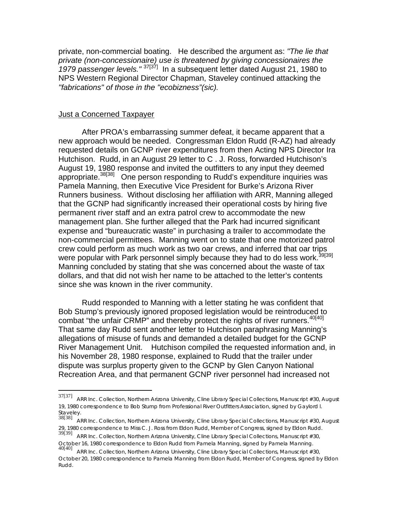private, non-commercial boating. He described the argument as: *"The lie that private (non-concessionaire) use is threatened by giving concessionaires the 1979 passenger levels."* 37[37] In a subsequent letter dated August 21, 1980 to NPS Western Regional Director Chapman, Staveley continued attacking the *"fabrications" of those in the "ecobizness"(sic).*

## **Just a Concerned Taxpayer**

 After PROA's embarrassing summer defeat, it became apparent that a new approach would be needed. Congressman Eldon Rudd (R-AZ) had already requested details on GCNP river expenditures from then Acting NPS Director Ira Hutchison. Rudd, in an August 29 letter to C . J. Ross, forwarded Hutchison's August 19, 1980 response and invited the outfitters to any input they deemed appropriate.<sup>38[38]</sup> One person responding to Rudd's expenditure inquiries was Pamela Manning, then Executive Vice President for Burke's Arizona River Runners business. Without disclosing her affiliation with ARR, Manning alleged that the GCNP had significantly increased their operational costs by hiring five permanent river staff and an extra patrol crew to accommodate the new management plan. She further alleged that the Park had incurred significant expense and "bureaucratic waste" in purchasing a trailer to accommodate the non-commercial permittees. Manning went on to state that one motorized patrol crew could perform as much work as two oar crews, and inferred that oar trips were popular with Park personnel simply because they had to do less work.<sup>39[39]</sup> Manning concluded by stating that she was concerned about the waste of tax dollars, and that did not wish her name to be attached to the letter's contents since she was known in the river community.

 Rudd responded to Manning with a letter stating he was confident that Bob Stump's previously ignored proposed legislation would be reintroduced to combat "the unfair CRMP" and thereby protect the rights of river runners.<sup>40[40]</sup> That same day Rudd sent another letter to Hutchison paraphrasing Manning's allegations of misuse of funds and demanded a detailed budget for the GCNP River Management Unit. Hutchison compiled the requested information and, in his November 28, 1980 response, explained to Rudd that the trailer under dispute was surplus property given to the GCNP by Glen Canyon National Recreation Area, and that permanent GCNP river personnel had increased not

<sup>37[37]</sup> ARR Inc. Collection, Northern Arizona University, Cline Library Special Collections, Manuscript #30, August 19, 1980 correspondence to Bob Stump from Professional River Outfitters Association, signed by Gaylord l. Staveley.

<sup>38[38]&</sup>lt;br>ARR Inc. Collection, Northern Arizona University, Cline Library Special Collections, Manuscript #30, August 29, 1980 correspondence to Miss C. J. Ross from Eldon Rudd, Member of Congress, signed by Eldon Rudd.

<sup>23, 1300</sup> Concepcinacies to the Creminal University, Cline Library Special Collections, Manuscript #30,<br>39[39] ARR Inc. Collection, Northern Arizona University, Cline Library Special Collections, Manuscript #30,<br>October 16,

October 16, 1980 correspondence to Eldon Rudd from Pamela Manning, signed and Anning. Annunctive Manniscript #30,<br>ARR Inc. Collection, Northern Arizona University, Cline Library Special Collections, Manuscript #30, October 20, 1980 correspondence to Pamela Manning from Eldon Rudd, Member of Congress, signed by Eldon Rudd.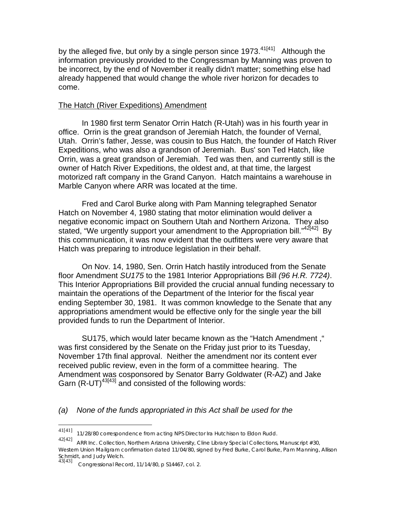by the alleged five, but only by a single person since 1973. $41[41]$  Although the information previously provided to the Congressman by Manning was proven to be incorrect, by the end of November it really didn't matter; something else had already happened that would change the whole river horizon for decades to come.

# The Hatch (River Expeditions) Amendment

 In 1980 first term Senator Orrin Hatch (R-Utah) was in his fourth year in office. Orrin is the great grandson of Jeremiah Hatch, the founder of Vernal, Utah. Orrin's father, Jesse, was cousin to Bus Hatch, the founder of Hatch River Expeditions, who was also a grandson of Jeremiah. Bus' son Ted Hatch, like Orrin, was a great grandson of Jeremiah. Ted was then, and currently still is the owner of Hatch River Expeditions, the oldest and, at that time, the largest motorized raft company in the Grand Canyon. Hatch maintains a warehouse in Marble Canyon where ARR was located at the time.

 Fred and Carol Burke along with Pam Manning telegraphed Senator Hatch on November 4, 1980 stating that motor elimination would deliver a negative economic impact on Southern Utah and Northern Arizona. They also stated, "We urgently support your amendment to the Appropriation bill."<sup>42[42]</sup> Bv this communication, it was now evident that the outfitters were very aware that Hatch was preparing to introduce legislation in their behalf.

 On Nov. 14, 1980, Sen. Orrin Hatch hastily introduced from the Senate floor Amendment *SU175* to the 1981 Interior Appropriations Bill *(96 H.R. 7724)*. This Interior Appropriations Bill provided the crucial annual funding necessary to maintain the operations of the Department of the Interior for the fiscal year ending September 30, 1981. It was common knowledge to the Senate that any appropriations amendment would be effective only for the single year the bill provided funds to run the Department of Interior.

 SU175, which would later became known as the "Hatch Amendment ," was first considered by the Senate on the Friday just prior to its Tuesday, November 17th final approval. Neither the amendment nor its content ever received public review, even in the form of a committee hearing. The Amendment was cosponsored by Senator Barry Goldwater (R-AZ) and Jake Garn  $(R$ -UT)<sup>43[43]</sup> and consisted of the following words:

# *(a) None of the funds appropriated in this Act shall be used for the*

 $\overline{a}$ 

<sup>41[41]</sup> 11/28/80 correspondence from acting NPS Director Ira Hutchison to Eldon Rudd.

<sup>42[42]</sup> ARR Inc. Collection, Northern Arizona University, Cline Library Special Collections, Manuscript #30, Western Union Mailgram confirmation dated 11/04/80, signed by Fred Burke, Carol Burke, Pam Manning, Allison Schmidt, and Judy Welch.<br>43[43] Constrational Roo

<sup>43[43]</sup> *Congressional Record*, 11/14/80, p S14467, col. 2.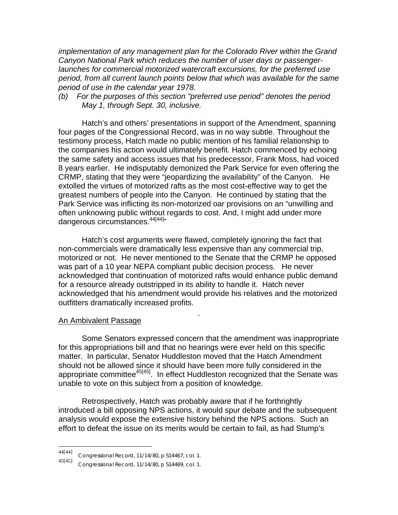*implementation of any management plan for the Colorado River within the Grand Canyon National Park which reduces the number of user days or passengerlaunches for commercial motorized watercraft excursions, for the preferred use period, from all current launch points below that which was available for the same period of use in the calendar year 1978.* 

*(b) For the purposes of this section "preferred use period" denotes the period May 1, through Sept. 30, inclusive.*

Hatch's and others' presentations in support of the Amendment, spanning four pages of the Congressional Record, was in no way subtle. Throughout the testimony process, Hatch made no public mention of his familial relationship to the companies his action would ultimately benefit. Hatch commenced by echoing the same safety and access issues that his predecessor, Frank Moss, had voiced 8 years earlier. He indisputably demonized the Park Service for even offering the CRMP, stating that they were "jeopardizing the availability" of the Canyon. He extolled the virtues of motorized rafts as the most cost-effective way to get the greatest numbers of people into the Canyon. He continued by stating that the Park Service was inflicting its non-motorized oar provisions on an "unwilling and often unknowing public without regards to cost. And, I might add under more dangerous circumstances.<sup>44[44]</sup>"

Hatch's cost arguments were flawed, completely ignoring the fact that non-commercials were dramatically less expensive than any commercial trip, motorized or not. He never mentioned to the Senate that the CRMP he opposed was part of a 10 year NEPA compliant public decision process. He never acknowledged that continuation of motorized rafts would enhance public demand for a resource already outstripped in its ability to handle it. Hatch never acknowledged that his amendment would provide his relatives and the motorized outfitters dramatically increased profits.

### An Ambivalent Passage

Some Senators expressed concern that the amendment was inappropriate for this appropriations bill and that no hearings were ever held on this specific matter. In particular, Senator Huddleston moved that the Hatch Amendment should not be allowed since it should have been more fully considered in the appropriate committee<sup>45[45]</sup>. In effect Huddleston recognized that the Senate was unable to vote on this subject from a position of knowledge.

Retrospectively, Hatch was probably aware that if he forthrightly introduced a bill opposing NPS actions, it would spur debate and the subsequent analysis would expose the extensive history behind the NPS actions. Such an effort to defeat the issue on its merits would be certain to fail, as had Stump's

<sup>44[44]</sup> *Congressional Record*, 11/14/80, p S14467, col. 1.

<sup>45[45]</sup> *Congressional Record*, 11/14/80, p S14469, col. 1.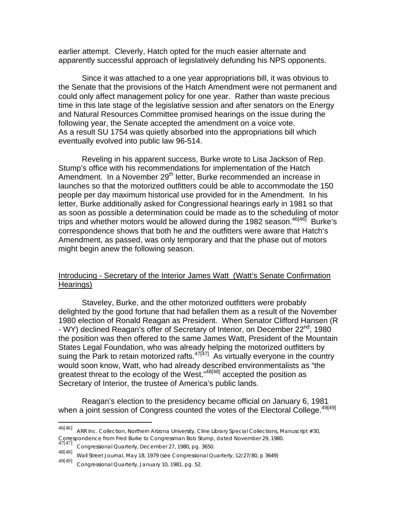earlier attempt. Cleverly, Hatch opted for the much easier alternate and apparently successful approach of legislatively defunding his NPS opponents.

 Since it was attached to a one year appropriations bill, it was obvious to the Senate that the provisions of the Hatch Amendment were not permanent and could only affect management policy for one year. Rather than waste precious time in this late stage of the legislative session and after senators on the Energy and Natural Resources Committee promised hearings on the issue during the following year, the Senate accepted the amendment on a voice vote. As a result SU 1754 was quietly absorbed into the appropriations bill which eventually evolved into public law 96-514.

 Reveling in his apparent success, Burke wrote to Lisa Jackson of Rep. Stump's office with his recommendations for implementation of the Hatch Amendment. In a November 29<sup>th</sup> letter, Burke recommended an increase in launches so that the motorized outfitters could be able to accommodate the 150 people per day maximum historical use provided for in the Amendment. In his letter, Burke additionally asked for Congressional hearings early in 1981 so that as soon as possible a determination could be made as to the scheduling of motor trips and whether motors would be allowed during the 1982 season.  $46[46]$  Burke's correspondence shows that both he and the outfitters were aware that Hatch's Amendment, as passed, was only temporary and that the phase out of motors might begin anew the following season.

# Introducing - Secretary of the Interior James Watt (Watt's Senate Confirmation Hearings)

 Staveley, Burke, and the other motorized outfitters were probably delighted by the good fortune that had befallen them as a result of the November 1980 election of Ronald Reagan as President. When Senator Clifford Hansen (R - WY) declined Reagan's offer of Secretary of Interior, on December 22<sup>nd</sup>, 1980 the position was then offered to the same James Watt, President of the Mountain States Legal Foundation, who was already helping the motorized outfitters by suing the Park to retain motorized rafts. $47[47]$  As virtually everyone in the country would soon know, Watt, who had already described environmentalists as "the greatest threat to the ecology of the West,"48[48] accepted the position as Secretary of Interior, the trustee of America's public lands.

 Reagan's election to the presidency became official on January 6, 1981 when a joint session of Congress counted the votes of the Electoral College.<sup>49[49]</sup>

1

<sup>46[46]</sup> ARR Inc. Collection, Northern Arizona University, Cline Library Special Collections, Manuscript #30, Correspondence from Fred Burke to Congressman Bob Stump, dated November 29, 1980.

Congressional Quarterly, December 27, 1980, pg. 3650.

<sup>48[48]</sup> *Wall Street Journal*, May 18, 1979 (see *Congressional Quarterly*, 12/27/80, p 3649)

<sup>49[49]</sup> *Congressional Quarterly*, January 10, 1981, pg. 52.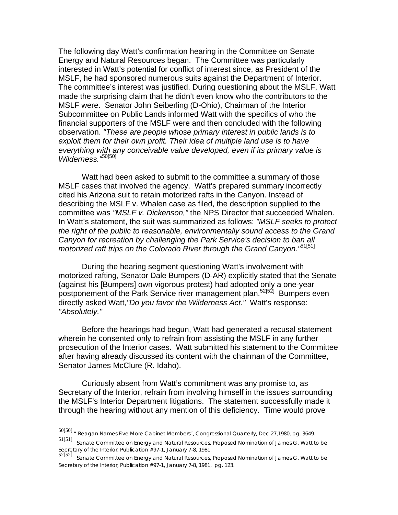The following day Watt's confirmation hearing in the Committee on Senate Energy and Natural Resources began. The Committee was particularly interested in Watt's potential for conflict of interest since, as President of the MSLF, he had sponsored numerous suits against the Department of Interior. The committee's interest was justified. During questioning about the MSLF, Watt made the surprising claim that he didn't even know who the contributors to the MSLF were. Senator John Seiberling (D-Ohio), Chairman of the Interior Subcommittee on Public Lands informed Watt with the specifics of who the financial supporters of the MSLF were and then concluded with the following observation. *"These are people whose primary interest in public lands is to exploit them for their own profit. Their idea of multiple land use is to have everything with any conceivable value developed, even if its primary value is Wilderness."*50[50]

Watt had been asked to submit to the committee a summary of those MSLF cases that involved the agency. Watt's prepared summary incorrectly cited his Arizona suit to retain motorized rafts in the Canyon. Instead of describing the MSLF v. Whalen case as filed, the description supplied to the committee was *"MSLF v. Dickenson,"* the NPS Director that succeeded Whalen. In Watt's statement, the suit was summarized as follows: *"MSLF seeks to protect the right of the public to reasonable, environmentally sound access to the Grand Canyon for recreation by challenging the Park Service's decision to ban all motorized raft trips on the Colorado River through the Grand Canyon."*51[51]

During the hearing segment questioning Watt's involvement with motorized rafting, Senator Dale Bumpers (D-AR) explicitly stated that the Senate (against his [Bumpers] own vigorous protest) had adopted only a one-year postponement of the Park Service river management plan.<sup>52[52]</sup> Bumpers even directly asked Watt,*"Do you favor the Wilderness Act."* Watt's response: *"Absolutely."*

Before the hearings had begun, Watt had generated a recusal statement wherein he consented only to refrain from assisting the MSLF in any further prosecution of the Interior cases. Watt submitted his statement to the Committee after having already discussed its content with the chairman of the Committee, Senator James McClure (R. Idaho).

Curiously absent from Watt's commitment was any promise to, as Secretary of the Interior, refrain from involving himself in the issues surrounding the MSLF's Interior Department litigations. The statement successfully made it through the hearing without any mention of this deficiency. Time would prove

<sup>50[50]</sup> " Reagan Names Five More Cabinet Members", *Congressional Quarterly*, Dec 27,1980, pg. 3649.

<sup>51[51]</sup> Senate *Committee on Energy and Natural Resources*, Proposed Nomination of James G. Watt to be Secretary of the Interior, Publication #97-1, January 7-8, 1981.

<sup>52[52]</sup> Senate *Committee on Energy and Natural Resources,* Proposed Nomination of James G. Watt to be Secretary of the Interior, Publication #97-1, January 7-8, 1981, pg. 123.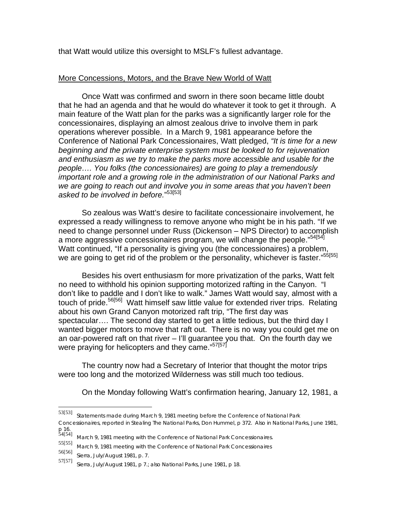that Watt would utilize this oversight to MSLF's fullest advantage.

# More Concessions, Motors, and the Brave New World of Watt

 Once Watt was confirmed and sworn in there soon became little doubt that he had an agenda and that he would do whatever it took to get it through. A main feature of the Watt plan for the parks was a significantly larger role for the concessionaires, displaying an almost zealous drive to involve them in park operations wherever possible. In a March 9, 1981 appearance before the Conference of National Park Concessionaires, Watt pledged, *"It is time for a new beginning and the private enterprise system must be looked to for rejuvenation and enthusiasm as we try to make the parks more accessible and usable for the people…. You folks (the concessionaires) are going to play a tremendously important role and a growing role in the administration of our National Parks and we are going to reach out and involve you in some areas that you haven't been asked to be involved in before.*" 53[53]

 So zealous was Watt's desire to facilitate concessionaire involvement, he expressed a ready willingness to remove anyone who might be in his path. "If we need to change personnel under Russ (Dickenson – NPS Director) to accomplish a more aggressive concessionaires program, we will change the people."<sup>54[54]</sup> Watt continued, "If a personality is giving you (the concessionaires) a problem, we are going to get rid of the problem or the personality, whichever is faster."<sup>55[55]</sup>

 Besides his overt enthusiasm for more privatization of the parks, Watt felt no need to withhold his opinion supporting motorized rafting in the Canyon. "I don't like to paddle and I don't like to walk." James Watt would say, almost with a touch of pride.<sup>56[56]</sup> Watt himself saw little value for extended river trips. Relating about his own Grand Canyon motorized raft trip, "The first day was spectacular…. The second day started to get a little tedious, but the third day I wanted bigger motors to move that raft out. There is no way you could get me on an oar-powered raft on that river – I'll guarantee you that. On the fourth day we were praying for helicopters and they came."<sup>57[57]</sup>

 The country now had a Secretary of Interior that thought the motor trips were too long and the motorized Wilderness was still much too tedious.

On the Monday following Watt's confirmation hearing, January 12, 1981, a

1

<sup>53[53]</sup> Statements made during March 9, 1981 meeting before the Conference of National Park Concessionaires, reported in *Stealing The National Parks*, Don Hummel, p 372. Also in *National Parks*, June 1981, p 16.<br>54[54]

<sup>&</sup>lt;sup>54[54]</sup> March 9, 1981 meeting with the Conference of National Park Concessionaires.<br>55[55]  $\ldots$  and 0,4004 meeting with the Conference of National Park Concessionaires.

March 9, 1981 meeting with the Conference of National Park Concessionaires

<sup>56[56]</sup> *Sierra*, July/August 1981, p. 7.

Sierra, July/August 1981, p 7.; also National Parks, June 1981, p 18.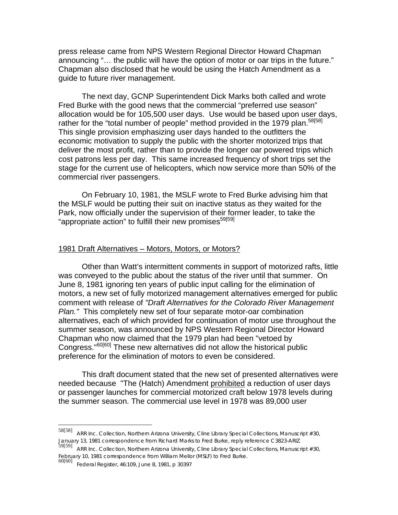press release came from NPS Western Regional Director Howard Chapman announcing "… the public will have the option of motor or oar trips in the future." Chapman also disclosed that he would be using the Hatch Amendment as a guide to future river management.

The next day, GCNP Superintendent Dick Marks both called and wrote Fred Burke with the good news that the commercial "preferred use season" allocation would be for 105,500 user days. Use would be based upon user days, rather for the "total number of people" method provided in the 1979 plan.<sup>58[58]</sup> This single provision emphasizing user days handed to the outfitters the economic motivation to supply the public with the shorter motorized trips that deliver the most profit, rather than to provide the longer oar powered trips which cost patrons less per day. This same increased frequency of short trips set the stage for the current use of helicopters, which now service more than 50% of the commercial river passengers.

On February 10, 1981, the MSLF wrote to Fred Burke advising him that the MSLF would be putting their suit on inactive status as they waited for the Park, now officially under the supervision of their former leader, to take the "appropriate action" to fulfill their new promises<sup>59[59]</sup>

#### 1981 Draft Alternatives – Motors, Motors, or Motors?

Other than Watt's intermittent comments in support of motorized rafts, little was conveyed to the public about the status of the river until that summer. On June 8, 1981 ignoring ten years of public input calling for the elimination of motors, a new set of fully motorized management alternatives emerged for public comment with release of *"Draft Alternatives for the Colorado River Management Plan."* This completely new set of four separate motor-oar combination alternatives, each of which provided for continuation of motor use throughout the summer season, was announced by NPS Western Regional Director Howard Chapman who now claimed that the 1979 plan had been "vetoed by Congress."60[60] These new alternatives did not allow the historical public preference for the elimination of motors to even be considered.

This draft document stated that the new set of presented alternatives were needed because "The (Hatch) Amendment prohibited a reduction of user days or passenger launches for commercial motorized craft below 1978 levels during the summer season. The commercial use level in 1978 was 89,000 user

<sup>58[58]</sup> ARR Inc. Collection, Northern Arizona University, Cline Library Special Collections, Manuscript #30, January 13, 1981 correspondence from Richard Marks to Fred Burke, reply reference C3823-ARIZ.

<sup>59[59]&</sup>lt;br>ARR Inc. Collection, Northern Arizona University, Cline Library Special Collections, Manuscript #30, February 10, 1981 correspondence from William Mellor (MSLF) to Fred Burke.

<sup>60[60]</sup> *Federal Register*, 46:109, June 8, 1981, p 30397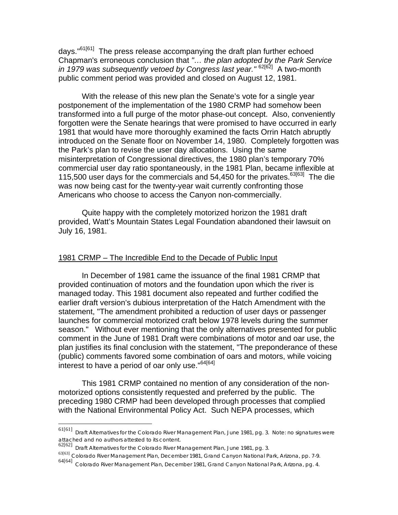days."<sup>61[61]</sup> The press release accompanying the draft plan further echoed Chapman's erroneous conclusion that *"… the plan adopted by the Park Service in 1979 was subsequently vetoed by Congress last year.*"<sup>62[62]</sup> A two-month public comment period was provided and closed on August 12, 1981.

 With the release of this new plan the Senate's vote for a single year postponement of the implementation of the 1980 CRMP had somehow been transformed into a full purge of the motor phase-out concept. Also, conveniently forgotten were the Senate hearings that were promised to have occurred in early 1981 that would have more thoroughly examined the facts Orrin Hatch abruptly introduced on the Senate floor on November 14, 1980. Completely forgotten was the Park's plan to revise the user day allocations. Using the same misinterpretation of Congressional directives, the 1980 plan's temporary 70% commercial user day ratio spontaneously, in the 1981 Plan, became inflexible at 115,500 user days for the commercials and 54,450 for the privates.<sup>63[63]</sup> The die was now being cast for the twenty-year wait currently confronting those Americans who choose to access the Canyon non-commercially.

 Quite happy with the completely motorized horizon the 1981 draft provided, Watt's Mountain States Legal Foundation abandoned their lawsuit on July 16, 1981.

### 1981 CRMP – The Incredible End to the Decade of Public Input

 In December of 1981 came the issuance of the final 1981 CRMP that provided continuation of motors and the foundation upon which the river is managed today. This 1981 document also repeated and further codified the earlier draft version's dubious interpretation of the Hatch Amendment with the statement, "The amendment prohibited a reduction of user days or passenger launches for commercial motorized craft below 1978 levels during the summer season." Without ever mentioning that the only alternatives presented for public comment in the June of 1981 Draft were combinations of motor and oar use, the plan justifies its final conclusion with the statement, "The preponderance of these (public) comments favored some combination of oars and motors, while voicing interest to have a period of oar only use."<sup>64[64]</sup>

 This 1981 CRMP contained no mention of any consideration of the nonmotorized options consistently requested and preferred by the public. The preceding 1980 CRMP had been developed through processes that complied with the National Environmental Policy Act. Such NEPA processes, which

 $\overline{a}$ 

<sup>61[61]</sup> *Draft Alternatives for the Colorado River Management Plan, June 1981*, pg. 3. Note: no signatures were attached and no authors attested to its content. 62[62] *Draft Alternatives for the Colorado River Management Plan, June 1981*, pg. 3.

<sup>63[63]</sup> *Colorado River Management Plan, December 1981*, Grand Canyon National Park, Arizona, pp. 7-9.

<sup>64[64]</sup> *Colorado River Management Plan, December 1981*, Grand Canyon National Park, Arizona, pg. 4.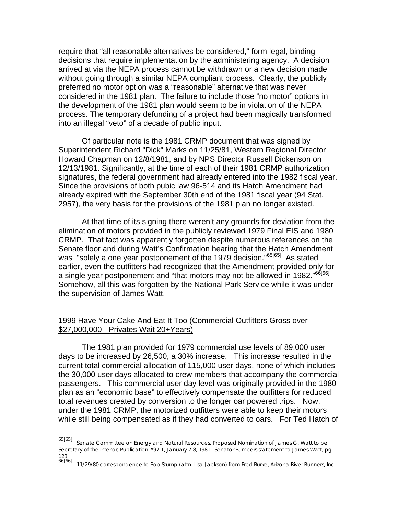require that "all reasonable alternatives be considered," form legal, binding decisions that require implementation by the administering agency. A decision arrived at via the NEPA process cannot be withdrawn or a new decision made without going through a similar NEPA compliant process. Clearly, the publicly preferred no motor option was a "reasonable" alternative that was never considered in the 1981 plan. The failure to include those "no motor" options in the development of the 1981 plan would seem to be in violation of the NEPA process. The temporary defunding of a project had been magically transformed into an illegal "veto" of a decade of public input.

Of particular note is the 1981 CRMP document that was signed by Superintendent Richard "Dick" Marks on 11/25/81, Western Regional Director Howard Chapman on 12/8/1981, and by NPS Director Russell Dickenson on 12/13/1981. Significantly, at the time of each of their 1981 CRMP authorization signatures, the federal government had already entered into the 1982 fiscal year. Since the provisions of both pubic law 96-514 and its Hatch Amendment had already expired with the September 30th end of the 1981 fiscal year (94 Stat. 2957), the very basis for the provisions of the 1981 plan no longer existed.

At that time of its signing there weren't any grounds for deviation from the elimination of motors provided in the publicly reviewed 1979 Final EIS and 1980 CRMP. That fact was apparently forgotten despite numerous references on the Senate floor and during Watt's Confirmation hearing that the Hatch Amendment was "solely a one year postponement of the 1979 decision."<sup>65[65]</sup> As stated earlier, even the outfitters had recognized that the Amendment provided only for a single year postponement and "that motors may not be allowed in 1982."<sup>66[66]</sup> Somehow, all this was forgotten by the National Park Service while it was under the supervision of James Watt.

# 1999 Have Your Cake And Eat It Too (Commercial Outfitters Gross over \$27,000,000 - Privates Wait 20+Years)

The 1981 plan provided for 1979 commercial use levels of 89,000 user days to be increased by 26,500, a 30% increase. This increase resulted in the current total commercial allocation of 115,000 user days, none of which includes the 30,000 user days allocated to crew members that accompany the commercial passengers. This commercial user day level was originally provided in the 1980 plan as an "economic base" to effectively compensate the outfitters for reduced total revenues created by conversion to the longer oar powered trips. Now, under the 1981 CRMP, the motorized outfitters were able to keep their motors while still being compensated as if they had converted to oars. For Ted Hatch of

<sup>65[65]</sup> Senate *Committee on Energy and Natural Resources*, Proposed Nomination of James G. Watt to be Secretary of the Interior, Publication #97-1, January 7-8, 1981. Senator Bumpers statement to James Watt, pg. 123.

<sup>66[66]</sup> 11/29/80 correspondence to Bob Stump (attn. Lisa Jackson) from Fred Burke, Arizona River Runners, Inc.